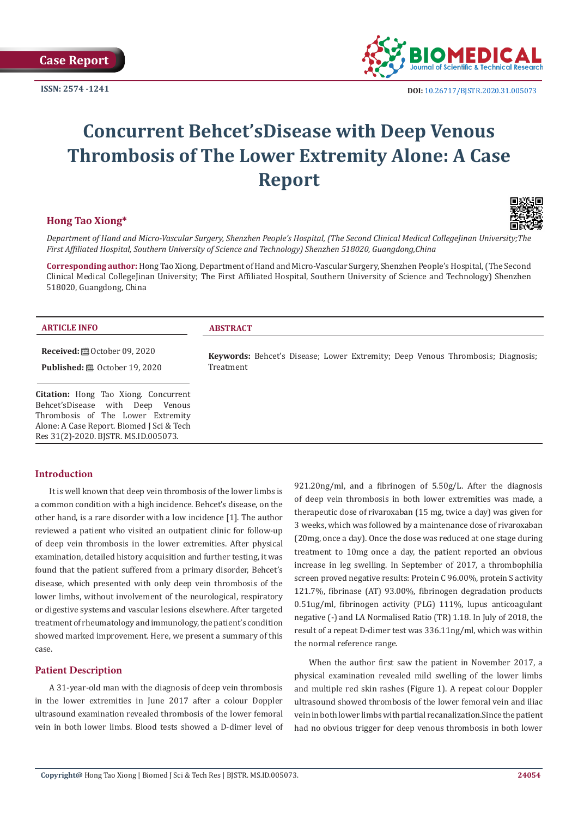

# **Concurrent Behcet'sDisease with Deep Venous Thrombosis of The Lower Extremity Alone: A Case Report**

## **Hong Tao Xiong\***



*Department of Hand and Micro-Vascular Surgery, Shenzhen People's Hospital, (The Second Clinical Medical CollegeJinan University;The First Affiliated Hospital, Southern University of Science and Technology) Shenzhen 518020, Guangdong,China*

**Corresponding author:** Hong Tao Xiong, Department of Hand and Micro-Vascular Surgery, Shenzhen People's Hospital, (The Second Clinical Medical CollegeJinan University; The First Affiliated Hospital, Southern University of Science and Technology) Shenzhen 518020, Guangdong, China

| <b>ARTICLE INFO</b>                                                             | <b>ABSTRACT</b>                                                                                     |
|---------------------------------------------------------------------------------|-----------------------------------------------------------------------------------------------------|
| <b>Received:</b> ■ October 09, 2020                                             | <b>Keywords:</b> Behcet's Disease; Lower Extremity; Deep Venous Thrombosis; Diagnosis;<br>Treatment |
| <b>Published:</b> $\mathbf{B}$ October 19, 2020                                 |                                                                                                     |
|                                                                                 |                                                                                                     |
| <b>Citation:</b> Hong Tao Xiong. Concurrent<br>Behcet'sDisease with Deep Venous |                                                                                                     |
| Thrombosis of The Lower Extremity                                               |                                                                                                     |
| Alone: A Case Report. Biomed J Sci & Tech                                       |                                                                                                     |

## **Introduction**

Res 31(2)-2020. BJSTR. MS.ID.005073.

It is well known that deep vein thrombosis of the lower limbs is a common condition with a high incidence. Behcet's disease, on the other hand, is a rare disorder with a low incidence [1]. The author reviewed a patient who visited an outpatient clinic for follow-up of deep vein thrombosis in the lower extremities. After physical examination, detailed history acquisition and further testing, it was found that the patient suffered from a primary disorder, Behcet's disease, which presented with only deep vein thrombosis of the lower limbs, without involvement of the neurological, respiratory or digestive systems and vascular lesions elsewhere. After targeted treatment of rheumatology and immunology, the patient's condition showed marked improvement. Here, we present a summary of this case.

## **Patient Description**

A 31-year-old man with the diagnosis of deep vein thrombosis in the lower extremities in June 2017 after a colour Doppler ultrasound examination revealed thrombosis of the lower femoral vein in both lower limbs. Blood tests showed a D-dimer level of 921.20ng/ml, and a fibrinogen of 5.50g/L. After the diagnosis of deep vein thrombosis in both lower extremities was made, a therapeutic dose of rivaroxaban (15 mg, twice a day) was given for 3 weeks, which was followed by a maintenance dose of rivaroxaban (20mg, once a day). Once the dose was reduced at one stage during treatment to 10mg once a day, the patient reported an obvious increase in leg swelling. In September of 2017, a thrombophilia screen proved negative results: Protein C 96.00%, protein S activity 121.7%, fibrinase (AT) 93.00%, fibrinogen degradation products 0.51ug/ml, fibrinogen activity (PLG) 111%, lupus anticoagulant negative (-) and LA Normalised Ratio (TR) 1.18. In July of 2018, the result of a repeat D-dimer test was 336.11ng/ml, which was within the normal reference range.

When the author first saw the patient in November 2017, a physical examination revealed mild swelling of the lower limbs and multiple red skin rashes (Figure 1). A repeat colour Doppler ultrasound showed thrombosis of the lower femoral vein and iliac vein in both lower limbs with partial recanalization.Since the patient had no obvious trigger for deep venous thrombosis in both lower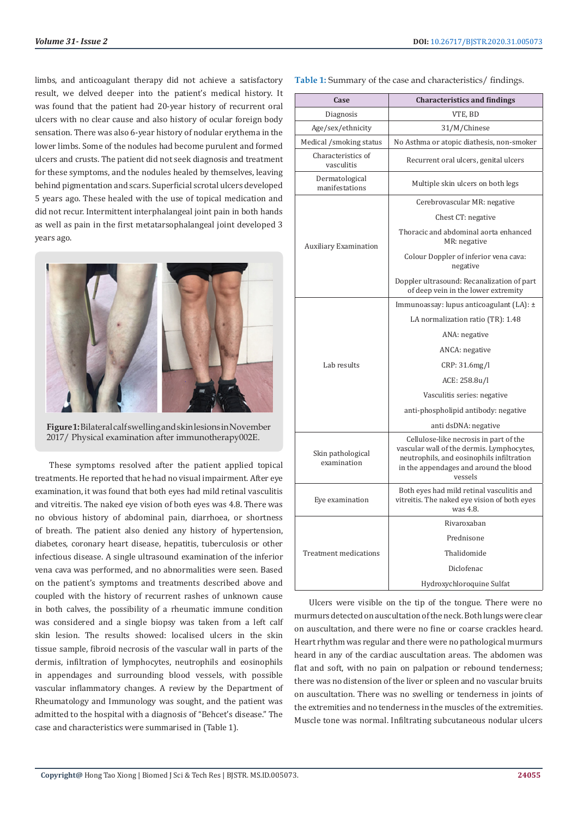limbs, and anticoagulant therapy did not achieve a satisfactory result, we delved deeper into the patient's medical history. It was found that the patient had 20-year history of recurrent oral ulcers with no clear cause and also history of ocular foreign body sensation. There was also 6-year history of nodular erythema in the lower limbs. Some of the nodules had become purulent and formed ulcers and crusts. The patient did not seek diagnosis and treatment for these symptoms, and the nodules healed by themselves, leaving behind pigmentation and scars. Superficial scrotal ulcers developed 5 years ago. These healed with the use of topical medication and did not recur. Intermittent interphalangeal joint pain in both hands as well as pain in the first metatarsophalangeal joint developed 3 years ago.



**Figure 1:** Bilateral calf swelling and skin lesions in November 2017/ Physical examination after immunotherapy002E.

These symptoms resolved after the patient applied topical treatments. He reported that he had no visual impairment. After eye examination, it was found that both eyes had mild retinal vasculitis and vitreitis. The naked eye vision of both eyes was 4.8. There was no obvious history of abdominal pain, diarrhoea, or shortness of breath. The patient also denied any history of hypertension, diabetes, coronary heart disease, hepatitis, tuberculosis or other infectious disease. A single ultrasound examination of the inferior vena cava was performed, and no abnormalities were seen. Based on the patient's symptoms and treatments described above and coupled with the history of recurrent rashes of unknown cause in both calves, the possibility of a rheumatic immune condition was considered and a single biopsy was taken from a left calf skin lesion. The results showed: localised ulcers in the skin tissue sample, fibroid necrosis of the vascular wall in parts of the dermis, infiltration of lymphocytes, neutrophils and eosinophils in appendages and surrounding blood vessels, with possible vascular inflammatory changes. A review by the Department of Rheumatology and Immunology was sought, and the patient was admitted to the hospital with a diagnosis of "Behcet's disease." The case and characteristics were summarised in (Table 1).

**Table 1:** Summary of the case and characteristics/ findings.

| Case                             | <b>Characteristics and findings</b>                                                                                                                                                   |
|----------------------------------|---------------------------------------------------------------------------------------------------------------------------------------------------------------------------------------|
| Diagnosis                        | VTE, BD                                                                                                                                                                               |
| Age/sex/ethnicity                | 31/M/Chinese                                                                                                                                                                          |
| Medical /smoking status          | No Asthma or atopic diathesis, non-smoker                                                                                                                                             |
| Characteristics of<br>vasculitis | Recurrent oral ulcers, genital ulcers                                                                                                                                                 |
| Dermatological<br>manifestations | Multiple skin ulcers on both legs                                                                                                                                                     |
| <b>Auxiliary Examination</b>     | Cerebrovascular MR: negative                                                                                                                                                          |
|                                  | Chest CT: negative                                                                                                                                                                    |
|                                  | Thoracic and abdominal aorta enhanced<br>MR: negative                                                                                                                                 |
|                                  | Colour Doppler of inferior vena cava:<br>negative                                                                                                                                     |
|                                  | Doppler ultrasound: Recanalization of part<br>of deep vein in the lower extremity                                                                                                     |
| Lab results                      | Immunoassay: lupus anticoagulant (LA): ±                                                                                                                                              |
|                                  | LA normalization ratio (TR): 1.48                                                                                                                                                     |
|                                  | ANA: negative                                                                                                                                                                         |
|                                  | ANCA: negative                                                                                                                                                                        |
|                                  | CRP: 31.6mg/l                                                                                                                                                                         |
|                                  | ACE: 258.8u/l                                                                                                                                                                         |
|                                  | Vasculitis series: negative                                                                                                                                                           |
|                                  | anti-phospholipid antibody: negative                                                                                                                                                  |
|                                  | anti dsDNA: negative                                                                                                                                                                  |
| Skin pathological<br>examination | Cellulose-like necrosis in part of the<br>vascular wall of the dermis. Lymphocytes,<br>neutrophils, and eosinophils infiltration<br>in the appendages and around the blood<br>vessels |
| Eye examination                  | Both eyes had mild retinal vasculitis and<br>vitreitis. The naked eye vision of both eyes<br>was 4.8.                                                                                 |
| <b>Treatment medications</b>     | Rivaroxaban                                                                                                                                                                           |
|                                  | Prednisone                                                                                                                                                                            |
|                                  | Thalidomide                                                                                                                                                                           |
|                                  | Diclofenac                                                                                                                                                                            |
|                                  | Hydroxychloroquine Sulfat                                                                                                                                                             |

Ulcers were visible on the tip of the tongue. There were no murmurs detected on auscultation of the neck. Both lungs were clear on auscultation, and there were no fine or coarse crackles heard. Heart rhythm was regular and there were no pathological murmurs heard in any of the cardiac auscultation areas. The abdomen was flat and soft, with no pain on palpation or rebound tenderness; there was no distension of the liver or spleen and no vascular bruits on auscultation. There was no swelling or tenderness in joints of the extremities and no tenderness in the muscles of the extremities. Muscle tone was normal. Infiltrating subcutaneous nodular ulcers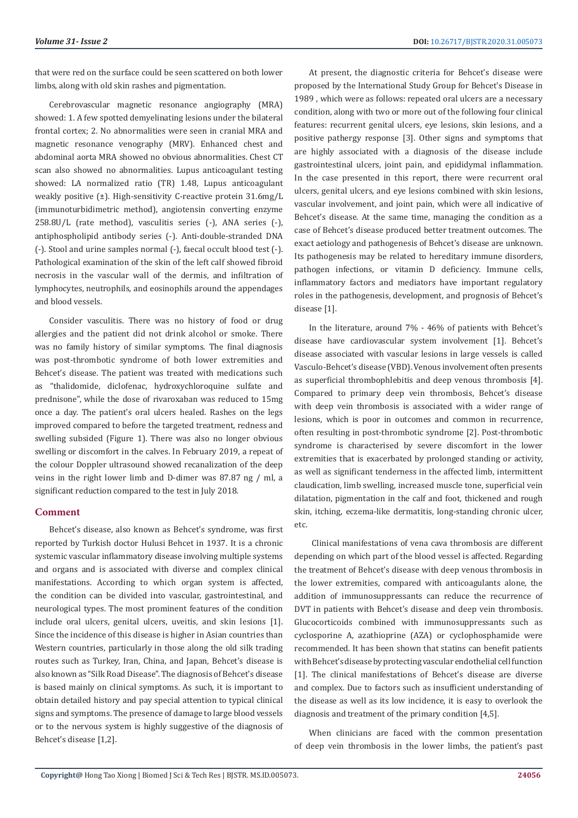that were red on the surface could be seen scattered on both lower limbs, along with old skin rashes and pigmentation.

Cerebrovascular magnetic resonance angiography (MRA) showed: 1. A few spotted demyelinating lesions under the bilateral frontal cortex; 2. No abnormalities were seen in cranial MRA and magnetic resonance venography (MRV). Enhanced chest and abdominal aorta MRA showed no obvious abnormalities. Chest CT scan also showed no abnormalities. Lupus anticoagulant testing showed: LA normalized ratio (TR) 1.48, Lupus anticoagulant weakly positive (±). High-sensitivity C-reactive protein 31.6mg/L (immunoturbidimetric method), angiotensin converting enzyme 258.8U/L (rate method), vasculitis series (-), ANA series (-), antiphospholipid antibody series (-). Anti-double-stranded DNA (-). Stool and urine samples normal (-), faecal occult blood test (-). Pathological examination of the skin of the left calf showed fibroid necrosis in the vascular wall of the dermis, and infiltration of lymphocytes, neutrophils, and eosinophils around the appendages and blood vessels.

Consider vasculitis. There was no history of food or drug allergies and the patient did not drink alcohol or smoke. There was no family history of similar symptoms. The final diagnosis was post-thrombotic syndrome of both lower extremities and Behcet's disease. The patient was treated with medications such as "thalidomide, diclofenac, hydroxychloroquine sulfate and prednisone", while the dose of rivaroxaban was reduced to 15mg once a day. The patient's oral ulcers healed. Rashes on the legs improved compared to before the targeted treatment, redness and swelling subsided (Figure 1). There was also no longer obvious swelling or discomfort in the calves. In February 2019, a repeat of the colour Doppler ultrasound showed recanalization of the deep veins in the right lower limb and D-dimer was 87.87 ng / ml, a significant reduction compared to the test in July 2018.

#### **Comment**

Behcet's disease, also known as Behcet's syndrome, was first reported by Turkish doctor Hulusi Behcet in 1937. It is a chronic systemic vascular inflammatory disease involving multiple systems and organs and is associated with diverse and complex clinical manifestations. According to which organ system is affected, the condition can be divided into vascular, gastrointestinal, and neurological types. The most prominent features of the condition include oral ulcers, genital ulcers, uveitis, and skin lesions [1]. Since the incidence of this disease is higher in Asian countries than Western countries, particularly in those along the old silk trading routes such as Turkey, Iran, China, and Japan, Behcet's disease is also known as "Silk Road Disease". The diagnosis of Behcet's disease is based mainly on clinical symptoms. As such, it is important to obtain detailed history and pay special attention to typical clinical signs and symptoms. The presence of damage to large blood vessels or to the nervous system is highly suggestive of the diagnosis of Behcet's disease [1,2].

At present, the diagnostic criteria for Behcet's disease were proposed by the International Study Group for Behcet's Disease in 1989 , which were as follows: repeated oral ulcers are a necessary condition, along with two or more out of the following four clinical features: recurrent genital ulcers, eye lesions, skin lesions, and a positive pathergy response [3]. Other signs and symptoms that are highly associated with a diagnosis of the disease include gastrointestinal ulcers, joint pain, and epididymal inflammation. In the case presented in this report, there were recurrent oral ulcers, genital ulcers, and eye lesions combined with skin lesions, vascular involvement, and joint pain, which were all indicative of Behcet's disease. At the same time, managing the condition as a case of Behcet's disease produced better treatment outcomes. The exact aetiology and pathogenesis of Behcet's disease are unknown. Its pathogenesis may be related to hereditary immune disorders, pathogen infections, or vitamin D deficiency. Immune cells, inflammatory factors and mediators have important regulatory roles in the pathogenesis, development, and prognosis of Behcet's disease [1].

In the literature, around 7% - 46% of patients with Behcet's disease have cardiovascular system involvement [1]. Behcet's disease associated with vascular lesions in large vessels is called Vasculo-Behcet's disease (VBD). Venous involvement often presents as superficial thrombophlebitis and deep venous thrombosis [4]. Compared to primary deep vein thrombosis, Behcet's disease with deep vein thrombosis is associated with a wider range of lesions, which is poor in outcomes and common in recurrence, often resulting in post-thrombotic syndrome [2]. Post-thrombotic syndrome is characterised by severe discomfort in the lower extremities that is exacerbated by prolonged standing or activity, as well as significant tenderness in the affected limb, intermittent claudication, limb swelling, increased muscle tone, superficial vein dilatation, pigmentation in the calf and foot, thickened and rough skin, itching, eczema-like dermatitis, long-standing chronic ulcer, etc.

 Clinical manifestations of vena cava thrombosis are different depending on which part of the blood vessel is affected. Regarding the treatment of Behcet's disease with deep venous thrombosis in the lower extremities, compared with anticoagulants alone, the addition of immunosuppressants can reduce the recurrence of DVT in patients with Behcet's disease and deep vein thrombosis. Glucocorticoids combined with immunosuppressants such as cyclosporine A, azathioprine (AZA) or cyclophosphamide were recommended. It has been shown that statins can benefit patients with Behcet's disease by protecting vascular endothelial cell function [1]. The clinical manifestations of Behcet's disease are diverse and complex. Due to factors such as insufficient understanding of the disease as well as its low incidence, it is easy to overlook the diagnosis and treatment of the primary condition [4,5].

When clinicians are faced with the common presentation of deep vein thrombosis in the lower limbs, the patient's past